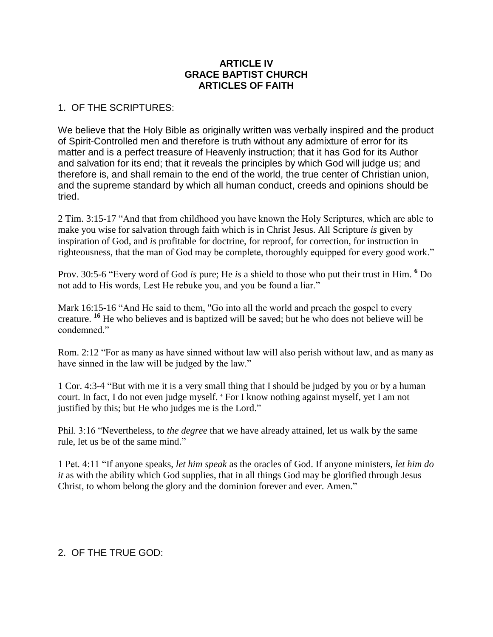## **ARTICLE IV GRACE BAPTIST CHURCH ARTICLES OF FAITH**

## 1. OF THE SCRIPTURES:

We believe that the Holy Bible as originally written was verbally inspired and the product of Spirit-Controlled men and therefore is truth without any admixture of error for its matter and is a perfect treasure of Heavenly instruction; that it has God for its Author and salvation for its end; that it reveals the principles by which God will judge us; and therefore is, and shall remain to the end of the world, the true center of Christian union, and the supreme standard by which all human conduct, creeds and opinions should be tried.

2 Tim. 3:15-17 "And that from childhood you have known the Holy Scriptures, which are able to make you wise for salvation through faith which is in Christ Jesus. All Scripture *is* given by inspiration of God, and *is* profitable for doctrine, for reproof, for correction, for instruction in righteousness, that the man of God may be complete, thoroughly equipped for every good work."

Prov. 30:5-6 "Every word of God *is* pure; He *is* a shield to those who put their trust in Him. **<sup>6</sup>** Do not add to His words, Lest He rebuke you, and you be found a liar."

Mark 16:15-16 "And He said to them, "Go into all the world and preach the gospel to every creature. **<sup>16</sup>** He who believes and is baptized will be saved; but he who does not believe will be condemned."

Rom. 2:12 "For as many as have sinned without law will also perish without law, and as many as have sinned in the law will be judged by the law."

1 Cor. 4:3-4 "But with me it is a very small thing that I should be judged by you or by a human court. In fact, I do not even judge myself. **<sup>4</sup>** For I know nothing against myself, yet I am not justified by this; but He who judges me is the Lord."

Phil. 3:16 "Nevertheless, to *the degree* that we have already attained, let us walk by the same rule, let us be of the same mind."

1 Pet. 4:11 "If anyone speaks, *let him speak* as the oracles of God. If anyone ministers, *let him do it* as with the ability which God supplies, that in all things God may be glorified through Jesus Christ, to whom belong the glory and the dominion forever and ever. Amen."

# 2. OF THE TRUE GOD: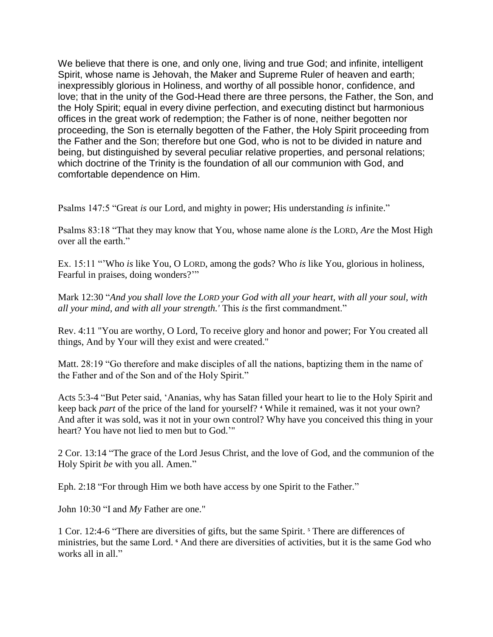We believe that there is one, and only one, living and true God; and infinite, intelligent Spirit, whose name is Jehovah, the Maker and Supreme Ruler of heaven and earth; inexpressibly glorious in Holiness, and worthy of all possible honor, confidence, and love; that in the unity of the God-Head there are three persons, the Father, the Son, and the Holy Spirit; equal in every divine perfection, and executing distinct but harmonious offices in the great work of redemption; the Father is of none, neither begotten nor proceeding, the Son is eternally begotten of the Father, the Holy Spirit proceeding from the Father and the Son; therefore but one God, who is not to be divided in nature and being, but distinguished by several peculiar relative properties, and personal relations; which doctrine of the Trinity is the foundation of all our communion with God, and comfortable dependence on Him.

Psalms 147:5 "Great *is* our Lord, and mighty in power; His understanding *is* infinite."

Psalms 83:18 "That they may know that You, whose name alone *is* the LORD, *Are* the Most High over all the earth."

Ex. 15:11 ""Who *is* like You, O LORD, among the gods? Who *is* like You, glorious in holiness, Fearful in praises, doing wonders?""

Mark 12:30 "*And you shall love the LORD your God with all your heart, with all your soul, with all your mind, and with all your strength.'* This *is* the first commandment."

Rev. 4:11 "You are worthy, O Lord, To receive glory and honor and power; For You created all things, And by Your will they exist and were created."

Matt. 28:19 "Go therefore and make disciples of all the nations, baptizing them in the name of the Father and of the Son and of the Holy Spirit."

Acts 5:3-4 "But Peter said, "Ananias, why has Satan filled your heart to lie to the Holy Spirit and keep back *part* of the price of the land for yourself? **<sup>4</sup>** While it remained, was it not your own? And after it was sold, was it not in your own control? Why have you conceived this thing in your heart? You have not lied to men but to God.""

2 Cor. 13:14 "The grace of the Lord Jesus Christ, and the love of God, and the communion of the Holy Spirit *be* with you all. Amen."

Eph. 2:18 "For through Him we both have access by one Spirit to the Father."

John 10:30 "I and *My* Father are one."

1 Cor. 12:4-6 "There are diversities of gifts, but the same Spirit. **<sup>5</sup>** There are differences of ministries, but the same Lord. **<sup>6</sup>** And there are diversities of activities, but it is the same God who works all in all."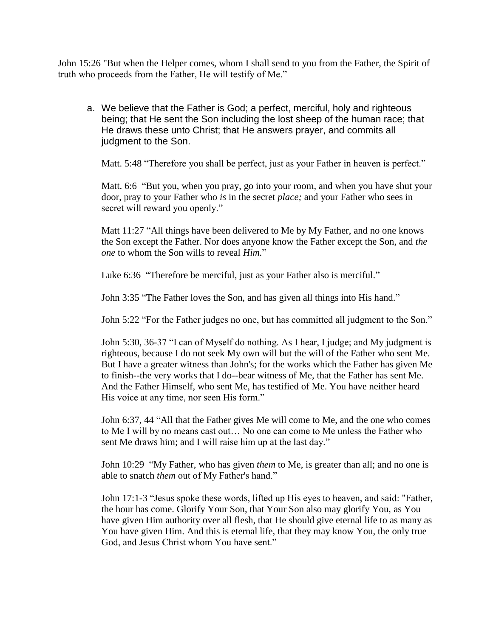John 15:26 "But when the Helper comes, whom I shall send to you from the Father, the Spirit of truth who proceeds from the Father, He will testify of Me."

a. We believe that the Father is God; a perfect, merciful, holy and righteous being; that He sent the Son including the lost sheep of the human race; that He draws these unto Christ; that He answers prayer, and commits all judgment to the Son.

Matt. 5:48 "Therefore you shall be perfect, just as your Father in heaven is perfect."

Matt. 6:6 "But you, when you pray, go into your room, and when you have shut your door, pray to your Father who *is* in the secret *place;* and your Father who sees in secret will reward you openly."

Matt 11:27 "All things have been delivered to Me by My Father, and no one knows the Son except the Father. Nor does anyone know the Father except the Son, and *the one* to whom the Son wills to reveal *Him.*"

Luke 6:36 "Therefore be merciful, just as your Father also is merciful."

John 3:35 "The Father loves the Son, and has given all things into His hand."

John 5:22 "For the Father judges no one, but has committed all judgment to the Son."

John 5:30, 36-37 "I can of Myself do nothing. As I hear, I judge; and My judgment is righteous, because I do not seek My own will but the will of the Father who sent Me. But I have a greater witness than John's; for the works which the Father has given Me to finish--the very works that I do--bear witness of Me, that the Father has sent Me. And the Father Himself, who sent Me, has testified of Me. You have neither heard His voice at any time, nor seen His form."

John 6:37, 44 "All that the Father gives Me will come to Me, and the one who comes to Me I will by no means cast out… No one can come to Me unless the Father who sent Me draws him; and I will raise him up at the last day."

John 10:29 "My Father, who has given *them* to Me, is greater than all; and no one is able to snatch *them* out of My Father's hand."

John 17:1-3 "Jesus spoke these words, lifted up His eyes to heaven, and said: "Father, the hour has come. Glorify Your Son, that Your Son also may glorify You, as You have given Him authority over all flesh, that He should give eternal life to as many as You have given Him. And this is eternal life, that they may know You, the only true God, and Jesus Christ whom You have sent."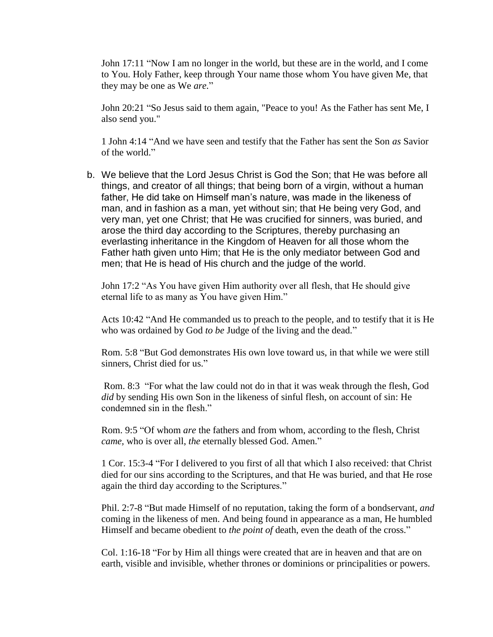John 17:11 "Now I am no longer in the world, but these are in the world, and I come to You. Holy Father, keep through Your name those whom You have given Me, that they may be one as We *are.*"

John 20:21 "So Jesus said to them again, "Peace to you! As the Father has sent Me, I also send you."

1 John 4:14 "And we have seen and testify that the Father has sent the Son *as* Savior of the world."

b. We believe that the Lord Jesus Christ is God the Son; that He was before all things, and creator of all things; that being born of a virgin, without a human father, He did take on Himself man's nature, was made in the likeness of man, and in fashion as a man, yet without sin; that He being very God, and very man, yet one Christ; that He was crucified for sinners, was buried, and arose the third day according to the Scriptures, thereby purchasing an everlasting inheritance in the Kingdom of Heaven for all those whom the Father hath given unto Him; that He is the only mediator between God and men; that He is head of His church and the judge of the world.

John 17:2 "As You have given Him authority over all flesh, that He should give eternal life to as many as You have given Him."

Acts 10:42 "And He commanded us to preach to the people, and to testify that it is He who was ordained by God *to be* Judge of the living and the dead."

Rom. 5:8 "But God demonstrates His own love toward us, in that while we were still sinners, Christ died for us."

Rom. 8:3 "For what the law could not do in that it was weak through the flesh, God *did* by sending His own Son in the likeness of sinful flesh, on account of sin: He condemned sin in the flesh."

Rom. 9:5 "Of whom *are* the fathers and from whom, according to the flesh, Christ *came,* who is over all, *the* eternally blessed God. Amen."

1 Cor. 15:3-4 "For I delivered to you first of all that which I also received: that Christ died for our sins according to the Scriptures, and that He was buried, and that He rose again the third day according to the Scriptures."

Phil. 2:7-8 "But made Himself of no reputation, taking the form of a bondservant, *and* coming in the likeness of men. And being found in appearance as a man, He humbled Himself and became obedient to *the point of* death, even the death of the cross."

Col. 1:16-18 "For by Him all things were created that are in heaven and that are on earth, visible and invisible, whether thrones or dominions or principalities or powers.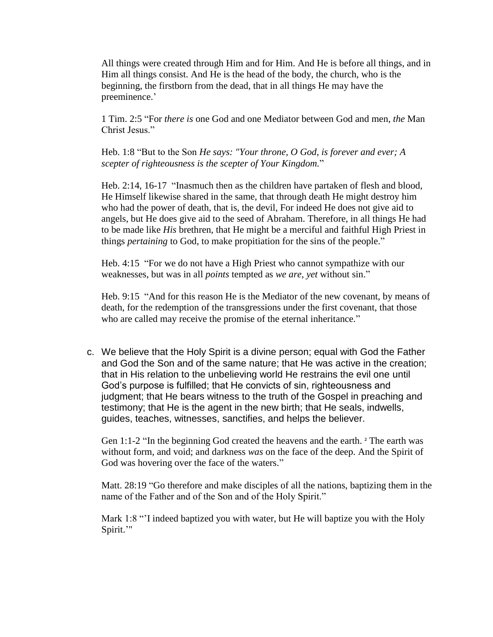All things were created through Him and for Him. And He is before all things, and in Him all things consist. And He is the head of the body, the church, who is the beginning, the firstborn from the dead, that in all things He may have the preeminence.'

1 Tim. 2:5 "For *there is* one God and one Mediator between God and men, *the* Man Christ Jesus."

Heb. 1:8 "But to the Son *He says: "Your throne, O God, is forever and ever; A scepter of righteousness is the scepter of Your Kingdom.*"

Heb. 2:14, 16-17 "Inasmuch then as the children have partaken of flesh and blood, He Himself likewise shared in the same, that through death He might destroy him who had the power of death, that is, the devil, For indeed He does not give aid to angels, but He does give aid to the seed of Abraham. Therefore, in all things He had to be made like *His* brethren, that He might be a merciful and faithful High Priest in things *pertaining* to God, to make propitiation for the sins of the people."

Heb. 4:15 "For we do not have a High Priest who cannot sympathize with our weaknesses, but was in all *points* tempted as *we are, yet* without sin."

Heb. 9:15 "And for this reason He is the Mediator of the new covenant, by means of death, for the redemption of the transgressions under the first covenant, that those who are called may receive the promise of the eternal inheritance."

c. We believe that the Holy Spirit is a divine person; equal with God the Father and God the Son and of the same nature; that He was active in the creation; that in His relation to the unbelieving world He restrains the evil one until God's purpose is fulfilled; that He convicts of sin, righteousness and judgment; that He bears witness to the truth of the Gospel in preaching and testimony; that He is the agent in the new birth; that He seals, indwells, guides, teaches, witnesses, sanctifies, and helps the believer.

Gen 1:1-2 "In the beginning God created the heavens and the earth. **<sup>2</sup>** The earth was without form, and void; and darkness *was* on the face of the deep. And the Spirit of God was hovering over the face of the waters."

Matt. 28:19 "Go therefore and make disciples of all the nations, baptizing them in the name of the Father and of the Son and of the Holy Spirit."

Mark 1:8 ""I indeed baptized you with water, but He will baptize you with the Holy Spirit.""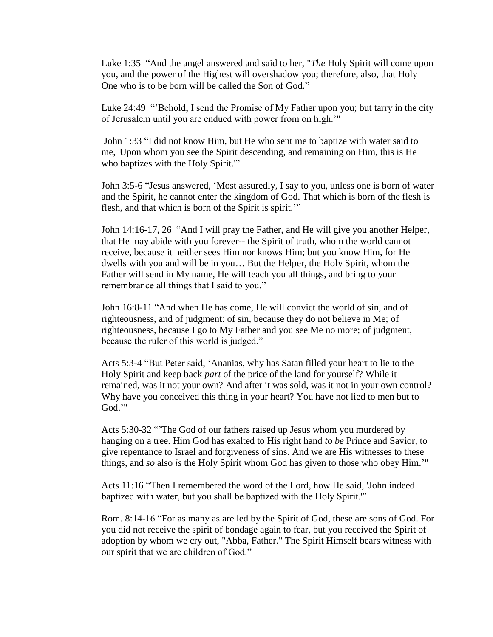Luke 1:35 "And the angel answered and said to her, "*The* Holy Spirit will come upon you, and the power of the Highest will overshadow you; therefore, also, that Holy One who is to be born will be called the Son of God."

Luke 24:49 ""Behold, I send the Promise of My Father upon you; but tarry in the city of Jerusalem until you are endued with power from on high.""

John 1:33 "I did not know Him, but He who sent me to baptize with water said to me, 'Upon whom you see the Spirit descending, and remaining on Him, this is He who baptizes with the Holy Spirit.'"

John 3:5-6 "Jesus answered, "Most assuredly, I say to you, unless one is born of water and the Spirit, he cannot enter the kingdom of God. That which is born of the flesh is flesh, and that which is born of the Spirit is spirit.""

John 14:16-17, 26 "And I will pray the Father, and He will give you another Helper, that He may abide with you forever-- the Spirit of truth, whom the world cannot receive, because it neither sees Him nor knows Him; but you know Him, for He dwells with you and will be in you… But the Helper, the Holy Spirit, whom the Father will send in My name, He will teach you all things, and bring to your remembrance all things that I said to you."

John 16:8-11 "And when He has come, He will convict the world of sin, and of righteousness, and of judgment: of sin, because they do not believe in Me; of righteousness, because I go to My Father and you see Me no more; of judgment, because the ruler of this world is judged."

Acts 5:3-4 "But Peter said, "Ananias, why has Satan filled your heart to lie to the Holy Spirit and keep back *part* of the price of the land for yourself? While it remained, was it not your own? And after it was sold, was it not in your own control? Why have you conceived this thing in your heart? You have not lied to men but to God.""

Acts 5:30-32 ""The God of our fathers raised up Jesus whom you murdered by hanging on a tree. Him God has exalted to His right hand *to be* Prince and Savior, to give repentance to Israel and forgiveness of sins. And we are His witnesses to these things, and *so* also *is* the Holy Spirit whom God has given to those who obey Him.""

Acts 11:16 "Then I remembered the word of the Lord, how He said, 'John indeed baptized with water, but you shall be baptized with the Holy Spirit.'"

Rom. 8:14-16 "For as many as are led by the Spirit of God, these are sons of God. For you did not receive the spirit of bondage again to fear, but you received the Spirit of adoption by whom we cry out, "Abba, Father." The Spirit Himself bears witness with our spirit that we are children of God."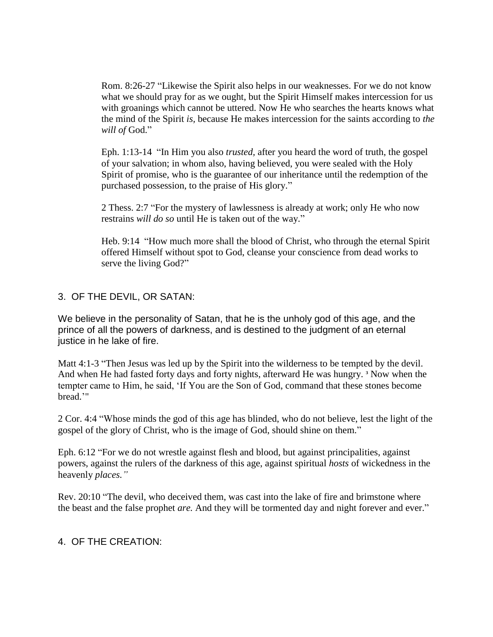Rom. 8:26-27 "Likewise the Spirit also helps in our weaknesses. For we do not know what we should pray for as we ought, but the Spirit Himself makes intercession for us with groanings which cannot be uttered. Now He who searches the hearts knows what the mind of the Spirit *is,* because He makes intercession for the saints according to *the will of* God."

Eph. 1:13-14 "In Him you also *trusted,* after you heard the word of truth, the gospel of your salvation; in whom also, having believed, you were sealed with the Holy Spirit of promise, who is the guarantee of our inheritance until the redemption of the purchased possession, to the praise of His glory."

2 Thess. 2:7 "For the mystery of lawlessness is already at work; only He who now restrains *will do so* until He is taken out of the way."

Heb. 9:14 "How much more shall the blood of Christ, who through the eternal Spirit offered Himself without spot to God, cleanse your conscience from dead works to serve the living God?"

## 3. OF THE DEVIL, OR SATAN:

We believe in the personality of Satan, that he is the unholy god of this age, and the prince of all the powers of darkness, and is destined to the judgment of an eternal justice in he lake of fire.

Matt 4:1-3 "Then Jesus was led up by the Spirit into the wilderness to be tempted by the devil. And when He had fasted forty days and forty nights, afterward He was hungry. **<sup>3</sup>** Now when the tempter came to Him, he said, "If You are the Son of God, command that these stones become bread.""

2 Cor. 4:4 "Whose minds the god of this age has blinded, who do not believe, lest the light of the gospel of the glory of Christ, who is the image of God, should shine on them."

Eph. 6:12 "For we do not wrestle against flesh and blood, but against principalities, against powers, against the rulers of the darkness of this age, against spiritual *hosts* of wickedness in the heavenly *places."*

Rev. 20:10 "The devil, who deceived them, was cast into the lake of fire and brimstone where the beast and the false prophet *are.* And they will be tormented day and night forever and ever."

### 4. OF THE CREATION: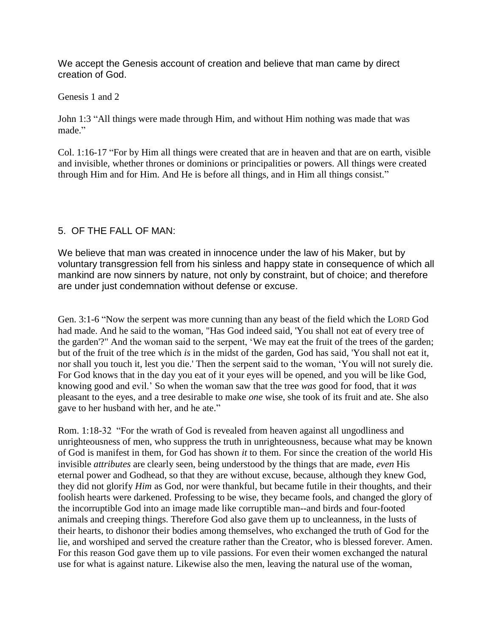We accept the Genesis account of creation and believe that man came by direct creation of God.

Genesis 1 and 2

John 1:3 "All things were made through Him, and without Him nothing was made that was made."

Col. 1:16-17 "For by Him all things were created that are in heaven and that are on earth, visible and invisible, whether thrones or dominions or principalities or powers. All things were created through Him and for Him. And He is before all things, and in Him all things consist."

## 5. OF THE FALL OF MAN:

We believe that man was created in innocence under the law of his Maker, but by voluntary transgression fell from his sinless and happy state in consequence of which all mankind are now sinners by nature, not only by constraint, but of choice; and therefore are under just condemnation without defense or excuse.

Gen. 3:1-6 "Now the serpent was more cunning than any beast of the field which the LORD God had made. And he said to the woman, "Has God indeed said, 'You shall not eat of every tree of the garden'?" And the woman said to the serpent, "We may eat the fruit of the trees of the garden; but of the fruit of the tree which *is* in the midst of the garden, God has said, 'You shall not eat it, nor shall you touch it, lest you die.' Then the serpent said to the woman, "You will not surely die. For God knows that in the day you eat of it your eyes will be opened, and you will be like God, knowing good and evil." So when the woman saw that the tree *was* good for food, that it *was* pleasant to the eyes, and a tree desirable to make *one* wise, she took of its fruit and ate. She also gave to her husband with her, and he ate."

Rom. 1:18-32 "For the wrath of God is revealed from heaven against all ungodliness and unrighteousness of men, who suppress the truth in unrighteousness, because what may be known of God is manifest in them, for God has shown *it* to them. For since the creation of the world His invisible *attributes* are clearly seen, being understood by the things that are made, *even* His eternal power and Godhead, so that they are without excuse, because, although they knew God, they did not glorify *Him* as God, nor were thankful, but became futile in their thoughts, and their foolish hearts were darkened. Professing to be wise, they became fools, and changed the glory of the incorruptible God into an image made like corruptible man--and birds and four-footed animals and creeping things. Therefore God also gave them up to uncleanness, in the lusts of their hearts, to dishonor their bodies among themselves, who exchanged the truth of God for the lie, and worshiped and served the creature rather than the Creator, who is blessed forever. Amen. For this reason God gave them up to vile passions. For even their women exchanged the natural use for what is against nature. Likewise also the men, leaving the natural use of the woman,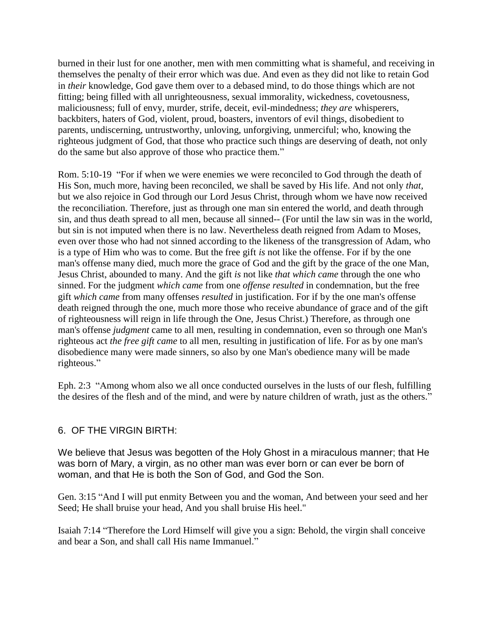burned in their lust for one another, men with men committing what is shameful, and receiving in themselves the penalty of their error which was due. And even as they did not like to retain God in *their* knowledge, God gave them over to a debased mind, to do those things which are not fitting; being filled with all unrighteousness, sexual immorality, wickedness, covetousness, maliciousness; full of envy, murder, strife, deceit, evil-mindedness; *they are* whisperers, backbiters, haters of God, violent, proud, boasters, inventors of evil things, disobedient to parents, undiscerning, untrustworthy, unloving, unforgiving, unmerciful; who, knowing the righteous judgment of God, that those who practice such things are deserving of death, not only do the same but also approve of those who practice them."

Rom. 5:10-19 "For if when we were enemies we were reconciled to God through the death of His Son, much more, having been reconciled, we shall be saved by His life. And not only *that,* but we also rejoice in God through our Lord Jesus Christ, through whom we have now received the reconciliation. Therefore, just as through one man sin entered the world, and death through sin, and thus death spread to all men, because all sinned-- (For until the law sin was in the world, but sin is not imputed when there is no law. Nevertheless death reigned from Adam to Moses, even over those who had not sinned according to the likeness of the transgression of Adam, who is a type of Him who was to come. But the free gift *is* not like the offense. For if by the one man's offense many died, much more the grace of God and the gift by the grace of the one Man, Jesus Christ, abounded to many. And the gift *is* not like *that which came* through the one who sinned. For the judgment *which came* from one *offense resulted* in condemnation, but the free gift *which came* from many offenses *resulted* in justification. For if by the one man's offense death reigned through the one, much more those who receive abundance of grace and of the gift of righteousness will reign in life through the One, Jesus Christ.) Therefore, as through one man's offense *judgment* came to all men, resulting in condemnation, even so through one Man's righteous act *the free gift came* to all men, resulting in justification of life. For as by one man's disobedience many were made sinners, so also by one Man's obedience many will be made righteous."

Eph. 2:3 "Among whom also we all once conducted ourselves in the lusts of our flesh, fulfilling the desires of the flesh and of the mind, and were by nature children of wrath, just as the others."

# 6. OF THE VIRGIN BIRTH:

We believe that Jesus was begotten of the Holy Ghost in a miraculous manner; that He was born of Mary, a virgin, as no other man was ever born or can ever be born of woman, and that He is both the Son of God, and God the Son.

Gen. 3:15 "And I will put enmity Between you and the woman, And between your seed and her Seed; He shall bruise your head, And you shall bruise His heel."

Isaiah 7:14 "Therefore the Lord Himself will give you a sign: Behold, the virgin shall conceive and bear a Son, and shall call His name Immanuel."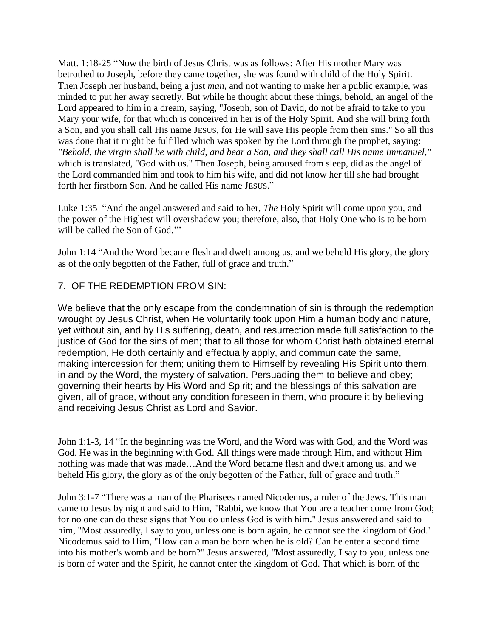Matt. 1:18-25 "Now the birth of Jesus Christ was as follows: After His mother Mary was betrothed to Joseph, before they came together, she was found with child of the Holy Spirit. Then Joseph her husband, being a just *man,* and not wanting to make her a public example, was minded to put her away secretly. But while he thought about these things, behold, an angel of the Lord appeared to him in a dream, saying, "Joseph, son of David, do not be afraid to take to you Mary your wife, for that which is conceived in her is of the Holy Spirit. And she will bring forth a Son, and you shall call His name JESUS, for He will save His people from their sins." So all this was done that it might be fulfilled which was spoken by the Lord through the prophet, saying: *"Behold, the virgin shall be with child, and bear a Son, and they shall call His name Immanuel,"* which is translated, "God with us." Then Joseph, being aroused from sleep, did as the angel of the Lord commanded him and took to him his wife, and did not know her till she had brought forth her firstborn Son. And he called His name JESUS."

Luke 1:35 "And the angel answered and said to her, *The* Holy Spirit will come upon you, and the power of the Highest will overshadow you; therefore, also, that Holy One who is to be born will be called the Son of God."

John 1:14 "And the Word became flesh and dwelt among us, and we beheld His glory, the glory as of the only begotten of the Father, full of grace and truth."

## 7. OF THE REDEMPTION FROM SIN:

We believe that the only escape from the condemnation of sin is through the redemption wrought by Jesus Christ, when He voluntarily took upon Him a human body and nature, yet without sin, and by His suffering, death, and resurrection made full satisfaction to the justice of God for the sins of men; that to all those for whom Christ hath obtained eternal redemption, He doth certainly and effectually apply, and communicate the same, making intercession for them; uniting them to Himself by revealing His Spirit unto them, in and by the Word, the mystery of salvation. Persuading them to believe and obey; governing their hearts by His Word and Spirit; and the blessings of this salvation are given, all of grace, without any condition foreseen in them, who procure it by believing and receiving Jesus Christ as Lord and Savior.

John 1:1-3, 14 "In the beginning was the Word, and the Word was with God, and the Word was God. He was in the beginning with God. All things were made through Him, and without Him nothing was made that was made…And the Word became flesh and dwelt among us, and we beheld His glory, the glory as of the only begotten of the Father, full of grace and truth."

John 3:1-7 "There was a man of the Pharisees named Nicodemus, a ruler of the Jews. This man came to Jesus by night and said to Him, "Rabbi, we know that You are a teacher come from God; for no one can do these signs that You do unless God is with him." Jesus answered and said to him, "Most assuredly, I say to you, unless one is born again, he cannot see the kingdom of God." Nicodemus said to Him, "How can a man be born when he is old? Can he enter a second time into his mother's womb and be born?" Jesus answered, "Most assuredly, I say to you, unless one is born of water and the Spirit, he cannot enter the kingdom of God. That which is born of the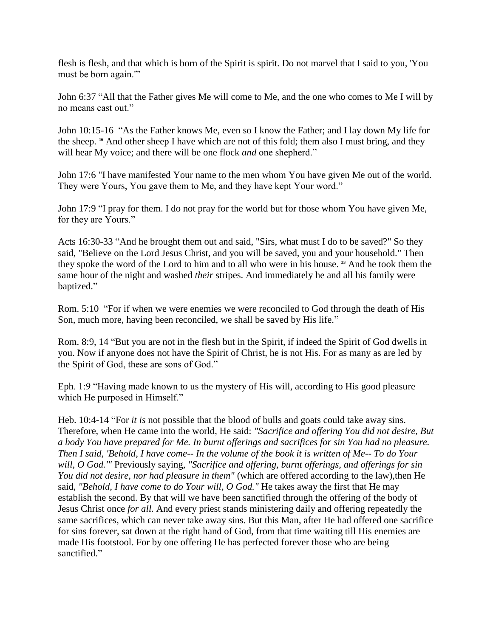flesh is flesh, and that which is born of the Spirit is spirit. Do not marvel that I said to you, 'You must be born again.'"

John 6:37 "All that the Father gives Me will come to Me, and the one who comes to Me I will by no means cast out."

John 10:15-16 "As the Father knows Me, even so I know the Father; and I lay down My life for the sheep. **<sup>16</sup>** And other sheep I have which are not of this fold; them also I must bring, and they will hear My voice; and there will be one flock *and* one shepherd."

John 17:6 "I have manifested Your name to the men whom You have given Me out of the world. They were Yours, You gave them to Me, and they have kept Your word."

John 17:9 "I pray for them. I do not pray for the world but for those whom You have given Me, for they are Yours."

Acts 16:30-33 "And he brought them out and said, "Sirs, what must I do to be saved?" So they said, "Believe on the Lord Jesus Christ, and you will be saved, you and your household." Then they spoke the word of the Lord to him and to all who were in his house. **<sup>33</sup>** And he took them the same hour of the night and washed *their* stripes. And immediately he and all his family were baptized."

Rom. 5:10 "For if when we were enemies we were reconciled to God through the death of His Son, much more, having been reconciled, we shall be saved by His life."

Rom. 8:9, 14 "But you are not in the flesh but in the Spirit, if indeed the Spirit of God dwells in you. Now if anyone does not have the Spirit of Christ, he is not His. For as many as are led by the Spirit of God, these are sons of God."

Eph. 1:9 "Having made known to us the mystery of His will, according to His good pleasure which He purposed in Himself."

Heb. 10:4-14 "For *it is* not possible that the blood of bulls and goats could take away sins. Therefore, when He came into the world, He said: *"Sacrifice and offering You did not desire, But a body You have prepared for Me. In burnt offerings and sacrifices for sin You had no pleasure. Then I said, 'Behold, I have come-- In the volume of the book it is written of Me-- To do Your will, O God.'"* Previously saying, *"Sacrifice and offering, burnt offerings, and offerings for sin You did not desire, nor had pleasure in them"* (which are offered according to the law),then He said, *"Behold, I have come to do Your will, O God."* He takes away the first that He may establish the second. By that will we have been sanctified through the offering of the body of Jesus Christ once *for all.* And every priest stands ministering daily and offering repeatedly the same sacrifices, which can never take away sins. But this Man, after He had offered one sacrifice for sins forever, sat down at the right hand of God, from that time waiting till His enemies are made His footstool. For by one offering He has perfected forever those who are being sanctified."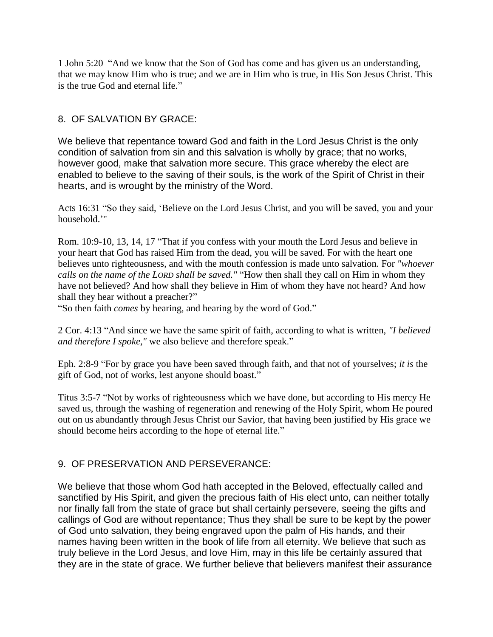1 John 5:20 "And we know that the Son of God has come and has given us an understanding, that we may know Him who is true; and we are in Him who is true, in His Son Jesus Christ. This is the true God and eternal life."

# 8. OF SALVATION BY GRACE:

We believe that repentance toward God and faith in the Lord Jesus Christ is the only condition of salvation from sin and this salvation is wholly by grace; that no works, however good, make that salvation more secure. This grace whereby the elect are enabled to believe to the saving of their souls, is the work of the Spirit of Christ in their hearts, and is wrought by the ministry of the Word.

Acts 16:31 "So they said, "Believe on the Lord Jesus Christ, and you will be saved, you and your household.""

Rom. 10:9-10, 13, 14, 17 "That if you confess with your mouth the Lord Jesus and believe in your heart that God has raised Him from the dead, you will be saved. For with the heart one believes unto righteousness, and with the mouth confession is made unto salvation. For *"whoever calls on the name of the LORD shall be saved."* "How then shall they call on Him in whom they have not believed? And how shall they believe in Him of whom they have not heard? And how shall they hear without a preacher?"

"So then faith *comes* by hearing, and hearing by the word of God."

2 Cor. 4:13 "And since we have the same spirit of faith, according to what is written, *"I believed and therefore I spoke,"* we also believe and therefore speak."

Eph. 2:8-9 "For by grace you have been saved through faith, and that not of yourselves; *it is* the gift of God, not of works, lest anyone should boast."

Titus 3:5-7 "Not by works of righteousness which we have done, but according to His mercy He saved us, through the washing of regeneration and renewing of the Holy Spirit, whom He poured out on us abundantly through Jesus Christ our Savior, that having been justified by His grace we should become heirs according to the hope of eternal life."

# 9. OF PRESERVATION AND PERSEVERANCE:

We believe that those whom God hath accepted in the Beloved, effectually called and sanctified by His Spirit, and given the precious faith of His elect unto, can neither totally nor finally fall from the state of grace but shall certainly persevere, seeing the gifts and callings of God are without repentance; Thus they shall be sure to be kept by the power of God unto salvation, they being engraved upon the palm of His hands, and their names having been written in the book of life from all eternity. We believe that such as truly believe in the Lord Jesus, and love Him, may in this life be certainly assured that they are in the state of grace. We further believe that believers manifest their assurance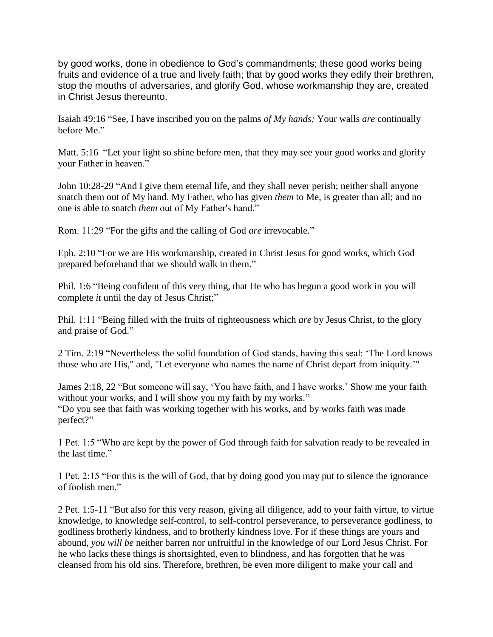by good works, done in obedience to God's commandments; these good works being fruits and evidence of a true and lively faith; that by good works they edify their brethren, stop the mouths of adversaries, and glorify God, whose workmanship they are, created in Christ Jesus thereunto.

Isaiah 49:16 "See, I have inscribed you on the palms *of My hands;* Your walls *are* continually before Me."

Matt. 5:16 "Let your light so shine before men, that they may see your good works and glorify your Father in heaven."

John 10:28-29 "And I give them eternal life, and they shall never perish; neither shall anyone snatch them out of My hand. My Father, who has given *them* to Me, is greater than all; and no one is able to snatch *them* out of My Father's hand."

Rom. 11:29 "For the gifts and the calling of God *are* irrevocable."

Eph. 2:10 "For we are His workmanship, created in Christ Jesus for good works, which God prepared beforehand that we should walk in them."

Phil. 1:6 "Being confident of this very thing, that He who has begun a good work in you will complete *it* until the day of Jesus Christ;"

Phil. 1:11 "Being filled with the fruits of righteousness which *are* by Jesus Christ, to the glory and praise of God."

2 Tim. 2:19 "Nevertheless the solid foundation of God stands, having this seal: "The Lord knows those who are His," and, "Let everyone who names the name of Christ depart from iniquity.""

James 2:18, 22 "But someone will say, "You have faith, and I have works." Show me your faith without your works, and I will show you my faith by my works."

"Do you see that faith was working together with his works, and by works faith was made perfect?"

1 Pet. 1:5 "Who are kept by the power of God through faith for salvation ready to be revealed in the last time."

1 Pet. 2:15 "For this is the will of God, that by doing good you may put to silence the ignorance of foolish men,"

2 Pet. 1:5-11 "But also for this very reason, giving all diligence, add to your faith virtue, to virtue knowledge, to knowledge self-control, to self-control perseverance, to perseverance godliness, to godliness brotherly kindness, and to brotherly kindness love. For if these things are yours and abound, *you will be* neither barren nor unfruitful in the knowledge of our Lord Jesus Christ. For he who lacks these things is shortsighted, even to blindness, and has forgotten that he was cleansed from his old sins. Therefore, brethren, be even more diligent to make your call and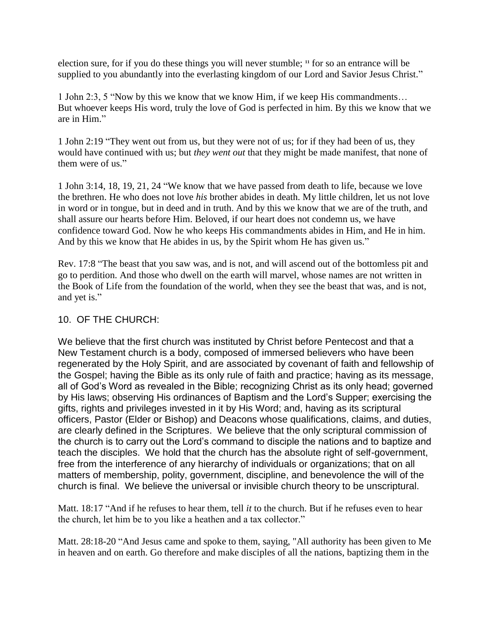election sure, for if you do these things you will never stumble; **<sup>11</sup>** for so an entrance will be supplied to you abundantly into the everlasting kingdom of our Lord and Savior Jesus Christ."

1 John 2:3, 5 "Now by this we know that we know Him, if we keep His commandments… But whoever keeps His word, truly the love of God is perfected in him. By this we know that we are in Him."

1 John 2:19 "They went out from us, but they were not of us; for if they had been of us, they would have continued with us; but *they went out* that they might be made manifest, that none of them were of us."

1 John 3:14, 18, 19, 21, 24 "We know that we have passed from death to life, because we love the brethren. He who does not love *his* brother abides in death. My little children, let us not love in word or in tongue, but in deed and in truth. And by this we know that we are of the truth, and shall assure our hearts before Him. Beloved, if our heart does not condemn us, we have confidence toward God. Now he who keeps His commandments abides in Him, and He in him. And by this we know that He abides in us, by the Spirit whom He has given us."

Rev. 17:8 "The beast that you saw was, and is not, and will ascend out of the bottomless pit and go to perdition. And those who dwell on the earth will marvel, whose names are not written in the Book of Life from the foundation of the world, when they see the beast that was, and is not, and yet is."

## 10. OF THE CHURCH:

We believe that the first church was instituted by Christ before Pentecost and that a New Testament church is a body, composed of immersed believers who have been regenerated by the Holy Spirit, and are associated by covenant of faith and fellowship of the Gospel; having the Bible as its only rule of faith and practice; having as its message, all of God's Word as revealed in the Bible; recognizing Christ as its only head; governed by His laws; observing His ordinances of Baptism and the Lord's Supper; exercising the gifts, rights and privileges invested in it by His Word; and, having as its scriptural officers, Pastor (Elder or Bishop) and Deacons whose qualifications, claims, and duties, are clearly defined in the Scriptures. We believe that the only scriptural commission of the church is to carry out the Lord's command to disciple the nations and to baptize and teach the disciples. We hold that the church has the absolute right of self-government, free from the interference of any hierarchy of individuals or organizations; that on all matters of membership, polity, government, discipline, and benevolence the will of the church is final. We believe the universal or invisible church theory to be unscriptural.

Matt. 18:17 "And if he refuses to hear them, tell *it* to the church. But if he refuses even to hear the church, let him be to you like a heathen and a tax collector."

Matt. 28:18-20 "And Jesus came and spoke to them, saying, "All authority has been given to Me in heaven and on earth. Go therefore and make disciples of all the nations, baptizing them in the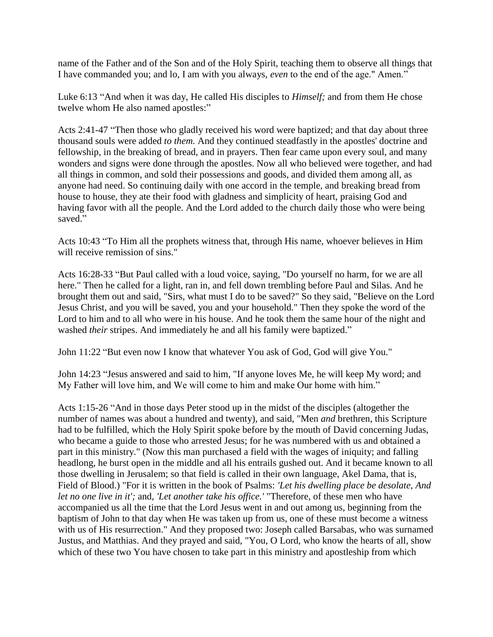name of the Father and of the Son and of the Holy Spirit, teaching them to observe all things that I have commanded you; and lo, I am with you always, *even* to the end of the age." Amen."

Luke 6:13 "And when it was day, He called His disciples to *Himself;* and from them He chose twelve whom He also named apostles:"

Acts 2:41-47 "Then those who gladly received his word were baptized; and that day about three thousand souls were added *to them.* And they continued steadfastly in the apostles' doctrine and fellowship, in the breaking of bread, and in prayers. Then fear came upon every soul, and many wonders and signs were done through the apostles. Now all who believed were together, and had all things in common, and sold their possessions and goods, and divided them among all, as anyone had need. So continuing daily with one accord in the temple, and breaking bread from house to house, they ate their food with gladness and simplicity of heart, praising God and having favor with all the people. And the Lord added to the church daily those who were being saved."

Acts 10:43 "To Him all the prophets witness that, through His name, whoever believes in Him will receive remission of sins."

Acts 16:28-33 "But Paul called with a loud voice, saying, "Do yourself no harm, for we are all here." Then he called for a light, ran in, and fell down trembling before Paul and Silas. And he brought them out and said, "Sirs, what must I do to be saved?" So they said, "Believe on the Lord Jesus Christ, and you will be saved, you and your household." Then they spoke the word of the Lord to him and to all who were in his house. And he took them the same hour of the night and washed *their* stripes. And immediately he and all his family were baptized."

John 11:22 "But even now I know that whatever You ask of God, God will give You."

John 14:23 "Jesus answered and said to him, "If anyone loves Me, he will keep My word; and My Father will love him, and We will come to him and make Our home with him."

Acts 1:15-26 "And in those days Peter stood up in the midst of the disciples (altogether the number of names was about a hundred and twenty), and said, "Men *and* brethren, this Scripture had to be fulfilled, which the Holy Spirit spoke before by the mouth of David concerning Judas, who became a guide to those who arrested Jesus; for he was numbered with us and obtained a part in this ministry." (Now this man purchased a field with the wages of iniquity; and falling headlong, he burst open in the middle and all his entrails gushed out. And it became known to all those dwelling in Jerusalem; so that field is called in their own language, Akel Dama, that is, Field of Blood.) "For it is written in the book of Psalms: *'Let his dwelling place be desolate, And let no one live in it';* and, *'Let another take his office.'* "Therefore, of these men who have accompanied us all the time that the Lord Jesus went in and out among us, beginning from the baptism of John to that day when He was taken up from us, one of these must become a witness with us of His resurrection." And they proposed two: Joseph called Barsabas, who was surnamed Justus, and Matthias. And they prayed and said, "You, O Lord, who know the hearts of all, show which of these two You have chosen to take part in this ministry and apostleship from which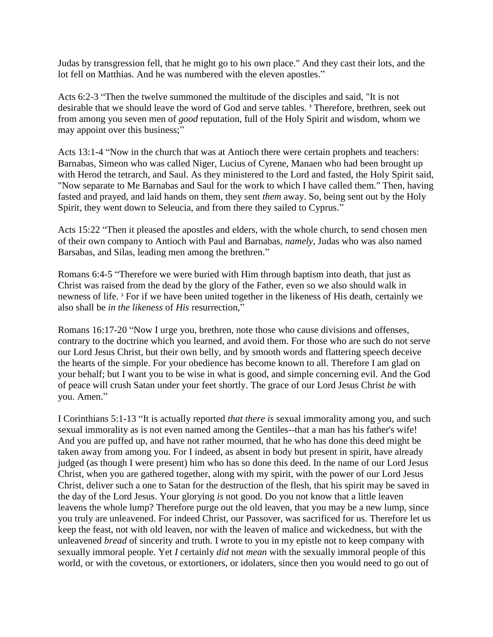Judas by transgression fell, that he might go to his own place." And they cast their lots, and the lot fell on Matthias. And he was numbered with the eleven apostles."

Acts 6:2-3 "Then the twelve summoned the multitude of the disciples and said, "It is not desirable that we should leave the word of God and serve tables. **<sup>3</sup>** Therefore, brethren, seek out from among you seven men of *good* reputation, full of the Holy Spirit and wisdom, whom we may appoint over this business;"

Acts 13:1-4 "Now in the church that was at Antioch there were certain prophets and teachers: Barnabas, Simeon who was called Niger, Lucius of Cyrene, Manaen who had been brought up with Herod the tetrarch, and Saul. As they ministered to the Lord and fasted, the Holy Spirit said, "Now separate to Me Barnabas and Saul for the work to which I have called them." Then, having fasted and prayed, and laid hands on them, they sent *them* away. So, being sent out by the Holy Spirit, they went down to Seleucia, and from there they sailed to Cyprus."

Acts 15:22 "Then it pleased the apostles and elders, with the whole church, to send chosen men of their own company to Antioch with Paul and Barnabas, *namely,* Judas who was also named Barsabas, and Silas, leading men among the brethren."

Romans 6:4-5 "Therefore we were buried with Him through baptism into death, that just as Christ was raised from the dead by the glory of the Father, even so we also should walk in newness of life. **<sup>5</sup>** For if we have been united together in the likeness of His death, certainly we also shall be *in the likeness* of *His* resurrection,"

Romans 16:17-20 "Now I urge you, brethren, note those who cause divisions and offenses, contrary to the doctrine which you learned, and avoid them. For those who are such do not serve our Lord Jesus Christ, but their own belly, and by smooth words and flattering speech deceive the hearts of the simple. For your obedience has become known to all. Therefore I am glad on your behalf; but I want you to be wise in what is good, and simple concerning evil. And the God of peace will crush Satan under your feet shortly. The grace of our Lord Jesus Christ *be* with you. Amen."

I Corinthians 5:1-13 "It is actually reported *that there is* sexual immorality among you, and such sexual immorality as is not even named among the Gentiles--that a man has his father's wife! And you are puffed up, and have not rather mourned, that he who has done this deed might be taken away from among you. For I indeed, as absent in body but present in spirit, have already judged (as though I were present) him who has so done this deed. In the name of our Lord Jesus Christ, when you are gathered together, along with my spirit, with the power of our Lord Jesus Christ, deliver such a one to Satan for the destruction of the flesh, that his spirit may be saved in the day of the Lord Jesus. Your glorying *is* not good. Do you not know that a little leaven leavens the whole lump? Therefore purge out the old leaven, that you may be a new lump, since you truly are unleavened. For indeed Christ, our Passover, was sacrificed for us. Therefore let us keep the feast, not with old leaven, nor with the leaven of malice and wickedness, but with the unleavened *bread* of sincerity and truth. I wrote to you in my epistle not to keep company with sexually immoral people. Yet *I* certainly *did* not *mean* with the sexually immoral people of this world, or with the covetous, or extortioners, or idolaters, since then you would need to go out of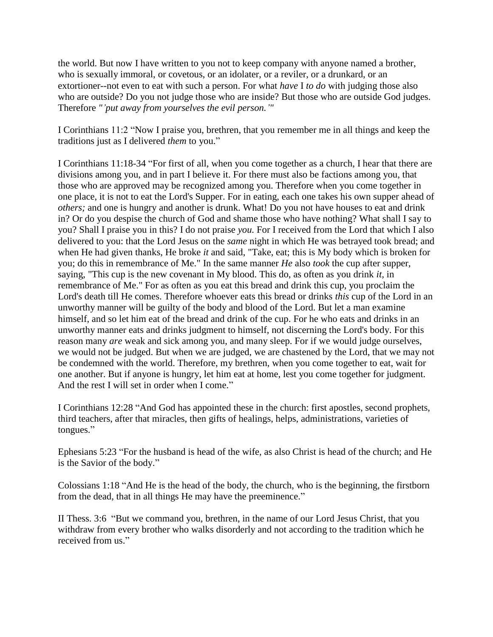the world. But now I have written to you not to keep company with anyone named a brother, who is sexually immoral, or covetous, or an idolater, or a reviler, or a drunkard, or an extortioner--not even to eat with such a person. For what *have* I *to do* with judging those also who are outside? Do you not judge those who are inside? But those who are outside God judges. Therefore *"'put away from yourselves the evil person.'"*

I Corinthians 11:2 "Now I praise you, brethren, that you remember me in all things and keep the traditions just as I delivered *them* to you."

I Corinthians 11:18-34 "For first of all, when you come together as a church, I hear that there are divisions among you, and in part I believe it. For there must also be factions among you, that those who are approved may be recognized among you. Therefore when you come together in one place, it is not to eat the Lord's Supper. For in eating, each one takes his own supper ahead of *others;* and one is hungry and another is drunk. What! Do you not have houses to eat and drink in? Or do you despise the church of God and shame those who have nothing? What shall I say to you? Shall I praise you in this? I do not praise *you.* For I received from the Lord that which I also delivered to you: that the Lord Jesus on the *same* night in which He was betrayed took bread; and when He had given thanks, He broke *it* and said, "Take, eat; this is My body which is broken for you; do this in remembrance of Me." In the same manner *He* also *took* the cup after supper, saying, "This cup is the new covenant in My blood. This do, as often as you drink *it,* in remembrance of Me." For as often as you eat this bread and drink this cup, you proclaim the Lord's death till He comes. Therefore whoever eats this bread or drinks *this* cup of the Lord in an unworthy manner will be guilty of the body and blood of the Lord. But let a man examine himself, and so let him eat of the bread and drink of the cup. For he who eats and drinks in an unworthy manner eats and drinks judgment to himself, not discerning the Lord's body. For this reason many *are* weak and sick among you, and many sleep. For if we would judge ourselves, we would not be judged. But when we are judged, we are chastened by the Lord, that we may not be condemned with the world. Therefore, my brethren, when you come together to eat, wait for one another. But if anyone is hungry, let him eat at home, lest you come together for judgment. And the rest I will set in order when I come."

I Corinthians 12:28 "And God has appointed these in the church: first apostles, second prophets, third teachers, after that miracles, then gifts of healings, helps, administrations, varieties of tongues."

Ephesians 5:23 "For the husband is head of the wife, as also Christ is head of the church; and He is the Savior of the body."

Colossians 1:18 "And He is the head of the body, the church, who is the beginning, the firstborn from the dead, that in all things He may have the preeminence."

II Thess. 3:6 "But we command you, brethren, in the name of our Lord Jesus Christ, that you withdraw from every brother who walks disorderly and not according to the tradition which he received from us."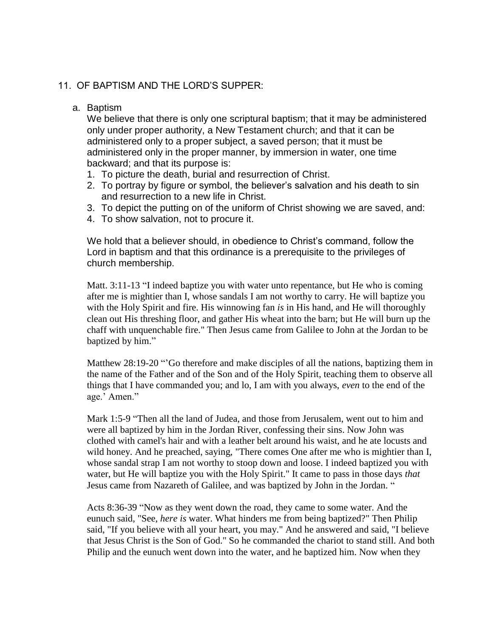## 11. OF BAPTISM AND THE LORD'S SUPPER:

#### a. Baptism

We believe that there is only one scriptural baptism; that it may be administered only under proper authority, a New Testament church; and that it can be administered only to a proper subject, a saved person; that it must be administered only in the proper manner, by immersion in water, one time backward; and that its purpose is:

- 1. To picture the death, burial and resurrection of Christ.
- 2. To portray by figure or symbol, the believer's salvation and his death to sin and resurrection to a new life in Christ.
- 3. To depict the putting on of the uniform of Christ showing we are saved, and:
- 4. To show salvation, not to procure it.

We hold that a believer should, in obedience to Christ's command, follow the Lord in baptism and that this ordinance is a prerequisite to the privileges of church membership.

Matt. 3:11-13 "I indeed baptize you with water unto repentance, but He who is coming after me is mightier than I, whose sandals I am not worthy to carry. He will baptize you with the Holy Spirit and fire. His winnowing fan *is* in His hand, and He will thoroughly clean out His threshing floor, and gather His wheat into the barn; but He will burn up the chaff with unquenchable fire." Then Jesus came from Galilee to John at the Jordan to be baptized by him."

Matthew 28:19-20 ""Go therefore and make disciples of all the nations, baptizing them in the name of the Father and of the Son and of the Holy Spirit, teaching them to observe all things that I have commanded you; and lo, I am with you always, *even* to the end of the age.' Amen."

Mark 1:5-9 "Then all the land of Judea, and those from Jerusalem, went out to him and were all baptized by him in the Jordan River, confessing their sins. Now John was clothed with camel's hair and with a leather belt around his waist, and he ate locusts and wild honey. And he preached, saying, "There comes One after me who is mightier than I, whose sandal strap I am not worthy to stoop down and loose. I indeed baptized you with water, but He will baptize you with the Holy Spirit." It came to pass in those days *that* Jesus came from Nazareth of Galilee, and was baptized by John in the Jordan. "

Acts 8:36-39 "Now as they went down the road, they came to some water. And the eunuch said, "See, *here is* water. What hinders me from being baptized?" Then Philip said, "If you believe with all your heart, you may." And he answered and said, "I believe that Jesus Christ is the Son of God." So he commanded the chariot to stand still. And both Philip and the eunuch went down into the water, and he baptized him. Now when they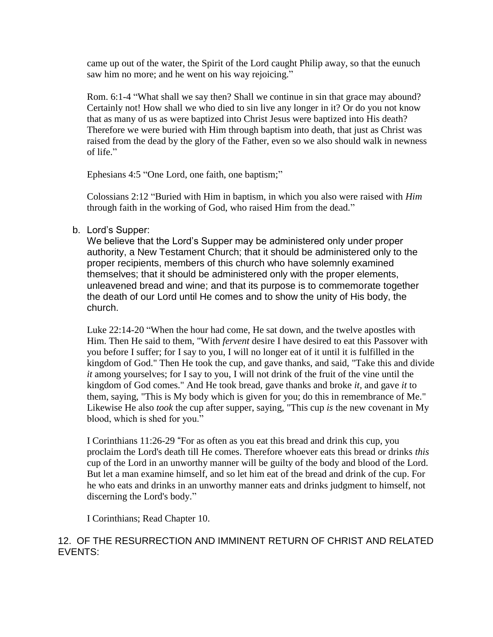came up out of the water, the Spirit of the Lord caught Philip away, so that the eunuch saw him no more; and he went on his way rejoicing."

Rom. 6:1-4 "What shall we say then? Shall we continue in sin that grace may abound? Certainly not! How shall we who died to sin live any longer in it? Or do you not know that as many of us as were baptized into Christ Jesus were baptized into His death? Therefore we were buried with Him through baptism into death, that just as Christ was raised from the dead by the glory of the Father, even so we also should walk in newness of life."

Ephesians 4:5 "One Lord, one faith, one baptism;"

Colossians 2:12 "Buried with Him in baptism, in which you also were raised with *Him* through faith in the working of God, who raised Him from the dead."

### b. Lord's Supper:

We believe that the Lord's Supper may be administered only under proper authority, a New Testament Church; that it should be administered only to the proper recipients, members of this church who have solemnly examined themselves; that it should be administered only with the proper elements, unleavened bread and wine; and that its purpose is to commemorate together the death of our Lord until He comes and to show the unity of His body, the church.

Luke 22:14-20 "When the hour had come, He sat down, and the twelve apostles with Him. Then He said to them, "With *fervent* desire I have desired to eat this Passover with you before I suffer; for I say to you, I will no longer eat of it until it is fulfilled in the kingdom of God." Then He took the cup, and gave thanks, and said, "Take this and divide *it* among yourselves; for I say to you, I will not drink of the fruit of the vine until the kingdom of God comes." And He took bread, gave thanks and broke *it,* and gave *it* to them, saying, "This is My body which is given for you; do this in remembrance of Me." Likewise He also *took* the cup after supper, saying, "This cup *is* the new covenant in My blood, which is shed for you."

I Corinthians 11:26-29 "For as often as you eat this bread and drink this cup, you proclaim the Lord's death till He comes. Therefore whoever eats this bread or drinks *this* cup of the Lord in an unworthy manner will be guilty of the body and blood of the Lord. But let a man examine himself, and so let him eat of the bread and drink of the cup. For he who eats and drinks in an unworthy manner eats and drinks judgment to himself, not discerning the Lord's body."

I Corinthians; Read Chapter 10.

## 12. OF THE RESURRECTION AND IMMINENT RETURN OF CHRIST AND RELATED EVENTS: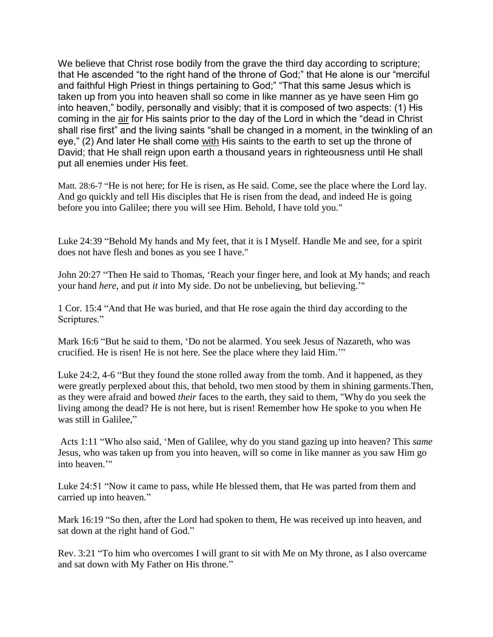We believe that Christ rose bodily from the grave the third day according to scripture; that He ascended "to the right hand of the throne of God;" that He alone is our "merciful and faithful High Priest in things pertaining to God;" "That this same Jesus which is taken up from you into heaven shall so come in like manner as ye have seen Him go into heaven," bodily, personally and visibly; that it is composed of two aspects: (1) His coming in the air for His saints prior to the day of the Lord in which the "dead in Christ shall rise first" and the living saints "shall be changed in a moment, in the twinkling of an eye," (2) And later He shall come with His saints to the earth to set up the throne of David; that He shall reign upon earth a thousand years in righteousness until He shall put all enemies under His feet.

Matt. 28:6-7 "He is not here; for He is risen, as He said. Come, see the place where the Lord lay. And go quickly and tell His disciples that He is risen from the dead, and indeed He is going before you into Galilee; there you will see Him. Behold, I have told you."

Luke 24:39 "Behold My hands and My feet, that it is I Myself. Handle Me and see, for a spirit does not have flesh and bones as you see I have."

John 20:27 "Then He said to Thomas, "Reach your finger here, and look at My hands; and reach your hand *here,* and put *it* into My side. Do not be unbelieving, but believing.""

1 Cor. 15:4 "And that He was buried, and that He rose again the third day according to the Scriptures."

Mark 16:6 "But he said to them, "Do not be alarmed. You seek Jesus of Nazareth, who was crucified. He is risen! He is not here. See the place where they laid Him.""

Luke 24:2, 4-6 "But they found the stone rolled away from the tomb. And it happened, as they were greatly perplexed about this, that behold, two men stood by them in shining garments.Then, as they were afraid and bowed *their* faces to the earth, they said to them, "Why do you seek the living among the dead? He is not here, but is risen! Remember how He spoke to you when He was still in Galilee,"

Acts 1:11 "Who also said, "Men of Galilee, why do you stand gazing up into heaven? This *same* Jesus, who was taken up from you into heaven, will so come in like manner as you saw Him go into heaven.""

Luke 24:51 "Now it came to pass, while He blessed them, that He was parted from them and carried up into heaven."

Mark 16:19 "So then, after the Lord had spoken to them, He was received up into heaven, and sat down at the right hand of God."

Rev. 3:21 "To him who overcomes I will grant to sit with Me on My throne, as I also overcame and sat down with My Father on His throne."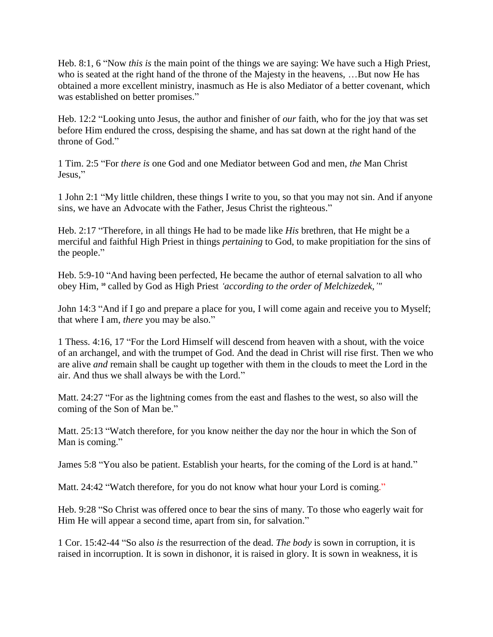Heb. 8:1, 6 "Now *this is* the main point of the things we are saying: We have such a High Priest, who is seated at the right hand of the throne of the Majesty in the heavens, …But now He has obtained a more excellent ministry, inasmuch as He is also Mediator of a better covenant, which was established on better promises."

Heb. 12:2 "Looking unto Jesus, the author and finisher of *our* faith, who for the joy that was set before Him endured the cross, despising the shame, and has sat down at the right hand of the throne of God."

1 Tim. 2:5 "For *there is* one God and one Mediator between God and men, *the* Man Christ Jesus,"

1 John 2:1 "My little children, these things I write to you, so that you may not sin. And if anyone sins, we have an Advocate with the Father, Jesus Christ the righteous."

Heb. 2:17 "Therefore, in all things He had to be made like *His* brethren, that He might be a merciful and faithful High Priest in things *pertaining* to God, to make propitiation for the sins of the people."

Heb. 5:9-10 "And having been perfected, He became the author of eternal salvation to all who obey Him, **<sup>10</sup>** called by God as High Priest *'according to the order of Melchizedek,'"*

John 14:3 "And if I go and prepare a place for you, I will come again and receive you to Myself; that where I am, *there* you may be also."

1 Thess. 4:16, 17 "For the Lord Himself will descend from heaven with a shout, with the voice of an archangel, and with the trumpet of God. And the dead in Christ will rise first. Then we who are alive *and* remain shall be caught up together with them in the clouds to meet the Lord in the air. And thus we shall always be with the Lord."

Matt. 24:27 "For as the lightning comes from the east and flashes to the west, so also will the coming of the Son of Man be."

Matt. 25:13 "Watch therefore, for you know neither the day nor the hour in which the Son of Man is coming."

James 5:8 "You also be patient. Establish your hearts, for the coming of the Lord is at hand."

Matt. 24:42 "Watch therefore, for you do not know what hour your Lord is coming."

Heb. 9:28 "So Christ was offered once to bear the sins of many. To those who eagerly wait for Him He will appear a second time, apart from sin, for salvation."

1 Cor. 15:42-44 "So also *is* the resurrection of the dead. *The body* is sown in corruption, it is raised in incorruption. It is sown in dishonor, it is raised in glory. It is sown in weakness, it is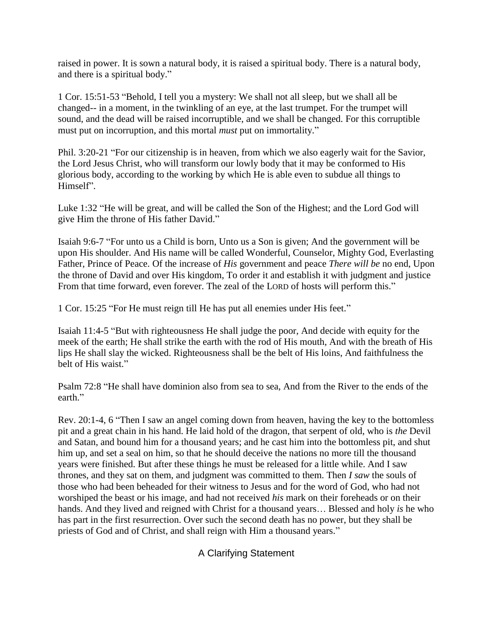raised in power. It is sown a natural body, it is raised a spiritual body. There is a natural body, and there is a spiritual body."

1 Cor. 15:51-53 "Behold, I tell you a mystery: We shall not all sleep, but we shall all be changed-- in a moment, in the twinkling of an eye, at the last trumpet. For the trumpet will sound, and the dead will be raised incorruptible, and we shall be changed. For this corruptible must put on incorruption, and this mortal *must* put on immortality."

Phil. 3:20-21 "For our citizenship is in heaven, from which we also eagerly wait for the Savior, the Lord Jesus Christ, who will transform our lowly body that it may be conformed to His glorious body, according to the working by which He is able even to subdue all things to Himself".

Luke 1:32 "He will be great, and will be called the Son of the Highest; and the Lord God will give Him the throne of His father David."

Isaiah 9:6-7 "For unto us a Child is born, Unto us a Son is given; And the government will be upon His shoulder. And His name will be called Wonderful, Counselor, Mighty God, Everlasting Father, Prince of Peace. Of the increase of *His* government and peace *There will be* no end, Upon the throne of David and over His kingdom, To order it and establish it with judgment and justice From that time forward, even forever. The zeal of the LORD of hosts will perform this."

1 Cor. 15:25 "For He must reign till He has put all enemies under His feet."

Isaiah 11:4-5 "But with righteousness He shall judge the poor, And decide with equity for the meek of the earth; He shall strike the earth with the rod of His mouth, And with the breath of His lips He shall slay the wicked. Righteousness shall be the belt of His loins, And faithfulness the belt of His waist."

Psalm 72:8 "He shall have dominion also from sea to sea, And from the River to the ends of the earth."

Rev. 20:1-4, 6 "Then I saw an angel coming down from heaven, having the key to the bottomless pit and a great chain in his hand. He laid hold of the dragon, that serpent of old, who is *the* Devil and Satan, and bound him for a thousand years; and he cast him into the bottomless pit, and shut him up, and set a seal on him, so that he should deceive the nations no more till the thousand years were finished. But after these things he must be released for a little while. And I saw thrones, and they sat on them, and judgment was committed to them. Then *I saw* the souls of those who had been beheaded for their witness to Jesus and for the word of God, who had not worshiped the beast or his image, and had not received *his* mark on their foreheads or on their hands. And they lived and reigned with Christ for a thousand years… Blessed and holy *is* he who has part in the first resurrection. Over such the second death has no power, but they shall be priests of God and of Christ, and shall reign with Him a thousand years."

A Clarifying Statement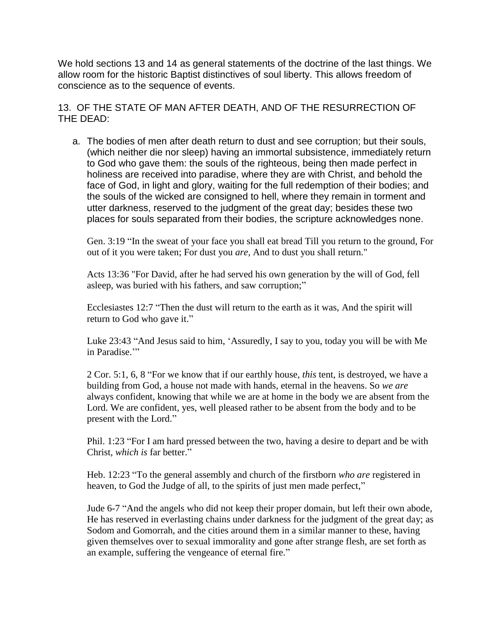We hold sections 13 and 14 as general statements of the doctrine of the last things. We allow room for the historic Baptist distinctives of soul liberty. This allows freedom of conscience as to the sequence of events.

13. OF THE STATE OF MAN AFTER DEATH, AND OF THE RESURRECTION OF THE DEAD:

a. The bodies of men after death return to dust and see corruption; but their souls, (which neither die nor sleep) having an immortal subsistence, immediately return to God who gave them: the souls of the righteous, being then made perfect in holiness are received into paradise, where they are with Christ, and behold the face of God, in light and glory, waiting for the full redemption of their bodies; and the souls of the wicked are consigned to hell, where they remain in torment and utter darkness, reserved to the judgment of the great day; besides these two places for souls separated from their bodies, the scripture acknowledges none.

Gen. 3:19 "In the sweat of your face you shall eat bread Till you return to the ground, For out of it you were taken; For dust you *are,* And to dust you shall return."

Acts 13:36 "For David, after he had served his own generation by the will of God, fell asleep, was buried with his fathers, and saw corruption;"

Ecclesiastes 12:7 "Then the dust will return to the earth as it was, And the spirit will return to God who gave it."

Luke 23:43 "And Jesus said to him, "Assuredly, I say to you, today you will be with Me in Paradise."

2 Cor. 5:1, 6, 8 "For we know that if our earthly house, *this* tent, is destroyed, we have a building from God, a house not made with hands, eternal in the heavens. So *we are* always confident, knowing that while we are at home in the body we are absent from the Lord. We are confident, yes, well pleased rather to be absent from the body and to be present with the Lord."

Phil. 1:23 "For I am hard pressed between the two, having a desire to depart and be with Christ, *which is* far better."

Heb. 12:23 "To the general assembly and church of the firstborn *who are* registered in heaven, to God the Judge of all, to the spirits of just men made perfect,"

Jude 6-7 "And the angels who did not keep their proper domain, but left their own abode, He has reserved in everlasting chains under darkness for the judgment of the great day; as Sodom and Gomorrah, and the cities around them in a similar manner to these, having given themselves over to sexual immorality and gone after strange flesh, are set forth as an example, suffering the vengeance of eternal fire."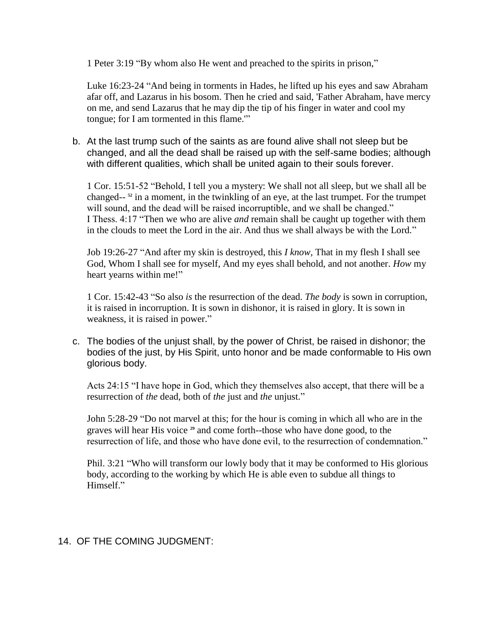1 Peter 3:19 "By whom also He went and preached to the spirits in prison,"

Luke 16:23-24 "And being in torments in Hades, he lifted up his eyes and saw Abraham afar off, and Lazarus in his bosom. Then he cried and said, 'Father Abraham, have mercy on me, and send Lazarus that he may dip the tip of his finger in water and cool my tongue; for I am tormented in this flame.'"

b. At the last trump such of the saints as are found alive shall not sleep but be changed, and all the dead shall be raised up with the self-same bodies; although with different qualities, which shall be united again to their souls forever.

1 Cor. 15:51-52 "Behold, I tell you a mystery: We shall not all sleep, but we shall all be changed-- **<sup>52</sup>** in a moment, in the twinkling of an eye, at the last trumpet. For the trumpet will sound, and the dead will be raised incorruptible, and we shall be changed." I Thess. 4:17 "Then we who are alive *and* remain shall be caught up together with them in the clouds to meet the Lord in the air. And thus we shall always be with the Lord."

Job 19:26-27 "And after my skin is destroyed, this *I know,* That in my flesh I shall see God, Whom I shall see for myself, And my eyes shall behold, and not another. *How* my heart yearns within me!"

1 Cor. 15:42-43 "So also *is* the resurrection of the dead. *The body* is sown in corruption, it is raised in incorruption. It is sown in dishonor, it is raised in glory. It is sown in weakness, it is raised in power."

c. The bodies of the unjust shall, by the power of Christ, be raised in dishonor; the bodies of the just, by His Spirit, unto honor and be made conformable to His own glorious body.

Acts 24:15 "I have hope in God, which they themselves also accept, that there will be a resurrection of *the* dead, both of *the* just and *the* unjust."

John 5:28-29 "Do not marvel at this; for the hour is coming in which all who are in the graves will hear His voice **<sup>29</sup>** and come forth--those who have done good, to the resurrection of life, and those who have done evil, to the resurrection of condemnation."

Phil. 3:21 "Who will transform our lowly body that it may be conformed to His glorious body, according to the working by which He is able even to subdue all things to Himself."

### 14. OF THE COMING JUDGMENT: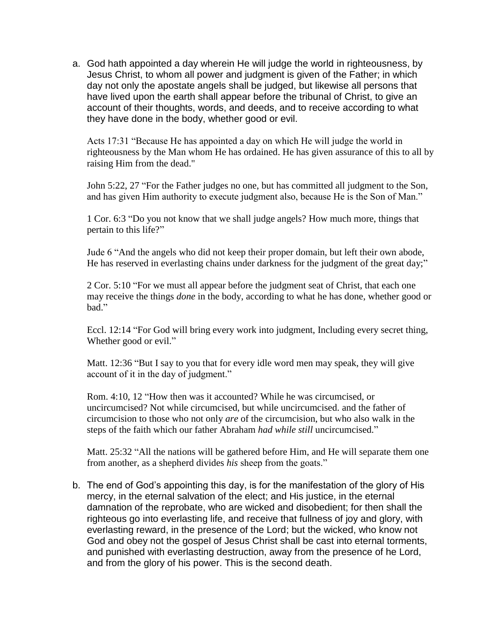a. God hath appointed a day wherein He will judge the world in righteousness, by Jesus Christ, to whom all power and judgment is given of the Father; in which day not only the apostate angels shall be judged, but likewise all persons that have lived upon the earth shall appear before the tribunal of Christ, to give an account of their thoughts, words, and deeds, and to receive according to what they have done in the body, whether good or evil.

Acts 17:31 "Because He has appointed a day on which He will judge the world in righteousness by the Man whom He has ordained. He has given assurance of this to all by raising Him from the dead."

John 5:22, 27 "For the Father judges no one, but has committed all judgment to the Son, and has given Him authority to execute judgment also, because He is the Son of Man."

1 Cor. 6:3 "Do you not know that we shall judge angels? How much more, things that pertain to this life?"

Jude 6 "And the angels who did not keep their proper domain, but left their own abode, He has reserved in everlasting chains under darkness for the judgment of the great day;"

2 Cor. 5:10 "For we must all appear before the judgment seat of Christ, that each one may receive the things *done* in the body, according to what he has done, whether good or bad."

Eccl. 12:14 "For God will bring every work into judgment, Including every secret thing, Whether good or evil."

Matt. 12:36 "But I say to you that for every idle word men may speak, they will give account of it in the day of judgment."

Rom. 4:10, 12 "How then was it accounted? While he was circumcised, or uncircumcised? Not while circumcised, but while uncircumcised. and the father of circumcision to those who not only *are* of the circumcision, but who also walk in the steps of the faith which our father Abraham *had while still* uncircumcised."

Matt. 25:32 "All the nations will be gathered before Him, and He will separate them one from another, as a shepherd divides *his* sheep from the goats."

b. The end of God's appointing this day, is for the manifestation of the glory of His mercy, in the eternal salvation of the elect; and His justice, in the eternal damnation of the reprobate, who are wicked and disobedient; for then shall the righteous go into everlasting life, and receive that fullness of joy and glory, with everlasting reward, in the presence of the Lord; but the wicked, who know not God and obey not the gospel of Jesus Christ shall be cast into eternal torments, and punished with everlasting destruction, away from the presence of he Lord, and from the glory of his power. This is the second death.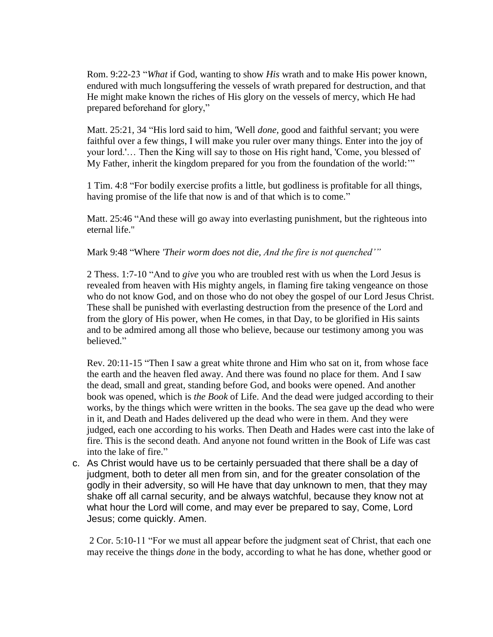Rom. 9:22-23 "*What* if God, wanting to show *His* wrath and to make His power known, endured with much longsuffering the vessels of wrath prepared for destruction, and that He might make known the riches of His glory on the vessels of mercy, which He had prepared beforehand for glory,"

Matt. 25:21, 34 "His lord said to him, 'Well *done,* good and faithful servant; you were faithful over a few things, I will make you ruler over many things. Enter into the joy of your lord.'… Then the King will say to those on His right hand, 'Come, you blessed of My Father, inherit the kingdom prepared for you from the foundation of the world:""

1 Tim. 4:8 "For bodily exercise profits a little, but godliness is profitable for all things, having promise of the life that now is and of that which is to come."

Matt. 25:46 "And these will go away into everlasting punishment, but the righteous into eternal life."

#### Mark 9:48 "Where *'Their worm does not die, And the fire is not quenched'"*

2 Thess. 1:7-10 "And to *give* you who are troubled rest with us when the Lord Jesus is revealed from heaven with His mighty angels, in flaming fire taking vengeance on those who do not know God, and on those who do not obey the gospel of our Lord Jesus Christ. These shall be punished with everlasting destruction from the presence of the Lord and from the glory of His power, when He comes, in that Day, to be glorified in His saints and to be admired among all those who believe, because our testimony among you was believed."

Rev. 20:11-15 "Then I saw a great white throne and Him who sat on it, from whose face the earth and the heaven fled away. And there was found no place for them. And I saw the dead, small and great, standing before God, and books were opened. And another book was opened, which is *the Book* of Life. And the dead were judged according to their works, by the things which were written in the books. The sea gave up the dead who were in it, and Death and Hades delivered up the dead who were in them. And they were judged, each one according to his works. Then Death and Hades were cast into the lake of fire. This is the second death. And anyone not found written in the Book of Life was cast into the lake of fire."

c. As Christ would have us to be certainly persuaded that there shall be a day of judgment, both to deter all men from sin, and for the greater consolation of the godly in their adversity, so will He have that day unknown to men, that they may shake off all carnal security, and be always watchful, because they know not at what hour the Lord will come, and may ever be prepared to say, Come, Lord Jesus; come quickly. Amen.

2 Cor. 5:10-11 "For we must all appear before the judgment seat of Christ, that each one may receive the things *done* in the body, according to what he has done, whether good or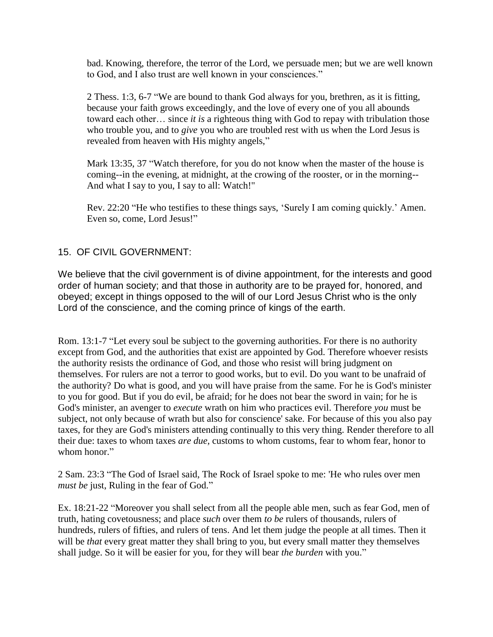bad. Knowing, therefore, the terror of the Lord, we persuade men; but we are well known to God, and I also trust are well known in your consciences."

2 Thess. 1:3, 6-7 "We are bound to thank God always for you, brethren, as it is fitting, because your faith grows exceedingly, and the love of every one of you all abounds toward each other… since *it is* a righteous thing with God to repay with tribulation those who trouble you, and to *give* you who are troubled rest with us when the Lord Jesus is revealed from heaven with His mighty angels,"

Mark 13:35, 37 "Watch therefore, for you do not know when the master of the house is coming--in the evening, at midnight, at the crowing of the rooster, or in the morning-- And what I say to you, I say to all: Watch!"

Rev. 22:20 "He who testifies to these things says, "Surely I am coming quickly." Amen. Even so, come, Lord Jesus!"

## 15. OF CIVIL GOVERNMENT:

We believe that the civil government is of divine appointment, for the interests and good order of human society; and that those in authority are to be prayed for, honored, and obeyed; except in things opposed to the will of our Lord Jesus Christ who is the only Lord of the conscience, and the coming prince of kings of the earth.

Rom. 13:1-7 "Let every soul be subject to the governing authorities. For there is no authority except from God, and the authorities that exist are appointed by God. Therefore whoever resists the authority resists the ordinance of God, and those who resist will bring judgment on themselves. For rulers are not a terror to good works, but to evil. Do you want to be unafraid of the authority? Do what is good, and you will have praise from the same. For he is God's minister to you for good. But if you do evil, be afraid; for he does not bear the sword in vain; for he is God's minister, an avenger to *execute* wrath on him who practices evil. Therefore *you* must be subject, not only because of wrath but also for conscience' sake. For because of this you also pay taxes, for they are God's ministers attending continually to this very thing. Render therefore to all their due: taxes to whom taxes *are due,* customs to whom customs, fear to whom fear, honor to whom honor."

2 Sam. 23:3 "The God of Israel said, The Rock of Israel spoke to me: 'He who rules over men *must be* just, Ruling in the fear of God."

Ex. 18:21-22 "Moreover you shall select from all the people able men, such as fear God, men of truth, hating covetousness; and place *such* over them *to be* rulers of thousands, rulers of hundreds, rulers of fifties, and rulers of tens. And let them judge the people at all times. Then it will be *that* every great matter they shall bring to you, but every small matter they themselves shall judge. So it will be easier for you, for they will bear *the burden* with you."